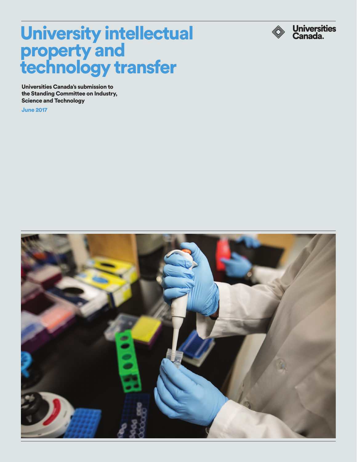

# University intellectual property and technology transfer

Universities Canada's submission to the Standing Committee on Industry, Science and Technology

June 2017

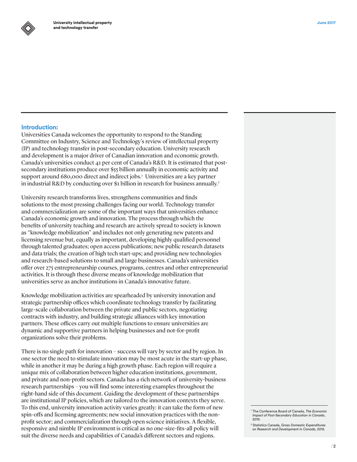## Introduction:

Universities Canada welcomes the opportunity to respond to the Standing Committee on Industry, Science and Technology's review of intellectual property (IP) and technology transfer in post-secondary education. University research and development is a major driver of Canadian innovation and economic growth. Canada's universities conduct 41 per cent of Canada's R&D. It is estimated that postsecondary institutions produce over \$55 billion annually in economic activity and support around 680,000 direct and indirect jobs.<sup>1</sup> Universities are a key partner in industrial R&D by conducting over \$1 billion in research for business annually.<sup>2</sup>

University research transforms lives, strengthens communities and finds solutions to the most pressing challenges facing our world. Technology transfer and commercialization are some of the important ways that universities enhance Canada's economic growth and innovation. The process through which the benefits of university teaching and research are actively spread to society is known as "knowledge mobilization" and includes not only generating new patents and licensing revenue but, equally as important, developing highly qualified personnel through talented graduates; open access publications; new public research datasets and data trials; the creation of high tech start-ups; and providing new technologies and research-based solutions to small and large businesses. Canada's universities offer over 275 entrepreneurship courses, programs, centres and other entrepreneurial activities. It is through these diverse means of knowledge mobilization that universities serve as anchor institutions in Canada's innovative future.

Knowledge mobilization activities are spearheaded by university innovation and strategic partnership offices which coordinate technology transfer by facilitating large-scale collaboration between the private and public sectors, negotiating contracts with industry, and building strategic alliances with key innovation partners. These offices carry out multiple functions to ensure universities are dynamic and supportive partners in helping businesses and not-for-profit organizations solve their problems.

There is no single path for innovation – success will vary by sector and by region. In one sector the need to stimulate innovation may be most acute in the start-up phase, while in another it may be during a high growth phase. Each region will require a unique mix of collaboration between higher education institutions, government, and private and non-profit sectors. Canada has a rich network of university-business research partnerships – you will find some interesting examples throughout the right-hand side of this document. Guiding the development of these partnerships are institutional IP policies, which are tailored to the innovation contexts they serve. To this end, university innovation activity varies greatly: it can take the form of new spin-offs and licensing agreements; new social innovation practices with the nonprofit sector; and commercialization through open science initiatives. A flexible, responsive and nimble IP environment is critical as no one-size-fits-all policy will suit the diverse needs and capabilities of Canada's different sectors and regions.

<sup>1</sup> The Conference Board of Canada, *The Economic Impact of Post-Secondary Education in Canada*, 2013.

<sup>2</sup> Statistics Canada, *Gross Domestic Expenditures on Research and Development in Canada,* 2015.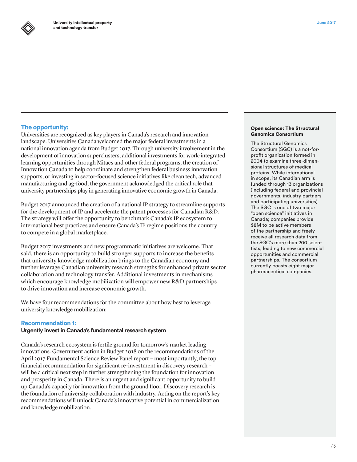# The opportunity:

Universities are recognized as key players in Canada's research and innovation landscape. Universities Canada welcomed the major federal investments in a national innovation agenda from Budget 2017. Through university involvement in the development of innovation superclusters, additional investments for work-integrated learning opportunities through Mitacs and other federal programs, the creation of Innovation Canada to help coordinate and strengthen federal business innovation supports, or investing in sector-focused science initiatives like clean tech, advanced manufacturing and ag-food, the government acknowledged the critical role that university partnerships play in generating innovative economic growth in Canada.

Budget 2017 announced the creation of a national IP strategy to streamline supports for the development of IP and accelerate the patent processes for Canadian R&D. The strategy will offer the opportunity to benchmark Canada's IP ecosystem to international best practices and ensure Canada's IP regime positions the country to compete in a global marketplace.

Budget 2017 investments and new programmatic initiatives are welcome. That said, there is an opportunity to build stronger supports to increase the benefits that university knowledge mobilization brings to the Canadian economy and further leverage Canadian university research strengths for enhanced private sector collaboration and technology transfer. Additional investments in mechanisms which encourage knowledge mobilization will empower new R&D partnerships to drive innovation and increase economic growth.

We have four recommendations for the committee about how best to leverage university knowledge mobilization:

## Recommendation 1:

## **Urgently invest in Canada's fundamental research system**

Canada's research ecosystem is fertile ground for tomorrow's market leading innovations. Government action in Budget 2018 on the recommendations of the April 2017 Fundamental Science Review Panel report – most importantly, the top financial recommendation for significant re-investment in discovery research – will be a critical next step in further strengthening the foundation for innovation and prosperity in Canada. There is an urgent and significant opportunity to build up Canada's capacity for innovation from the ground floor. Discovery research is the foundation of university collaboration with industry. Acting on the report's key recommendations will unlock Canada's innovative potential in commercialization and knowledge mobilization.

#### Open science: The Structural Genomics Consortium

The Structural Genomics Consortium (SGC) is a not-forprofit organization formed in 2004 to examine three-dimensional structures of medical proteins. While international in scope, its Canadian arm is funded through 13 organizations (including federal and provincial governments, industry partners and participating universities). The SGC is one of two major "open science" initiatives in Canada; companies provide \$8M to be active members of the partnership and freely receive all research data from the SGC's more than 200 scientists, leading to new commercial opportunities and commercial partnerships. The consortium currently boasts eight major pharmaceutical companies.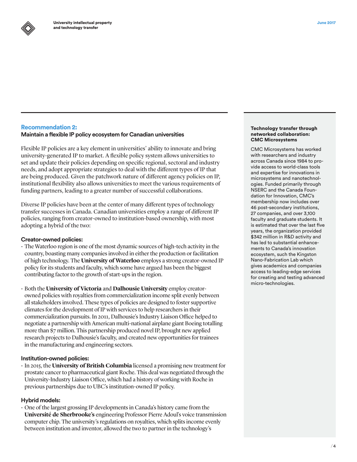# Recommendation 2:

# **Maintain a flexible IP policy ecosystem for Canadian universities**

Flexible IP policies are a key element in universities' ability to innovate and bring university-generated IP to market. A flexible policy system allows universities to set and update their policies depending on specific regional, sectoral and industry needs, and adopt appropriate strategies to deal with the different types of IP that are being produced. Given the patchwork nature of different agency policies on IP, institutional flexibility also allows universities to meet the various requirements of funding partners, leading to a greater number of successful collaborations.

Diverse IP policies have been at the center of many different types of technology transfer successes in Canada. Canadian universities employ a range of different IP policies, ranging from creator-owned to institution-based ownership, with most adopting a hybrid of the two:

## **Creator-owned policies:**

- The Waterloo region is one of the most dynamic sources of high-tech activity in the country, boasting many companies involved in either the production or facilitation of high technology. The **University of Waterloo** employs a strong creator-owned IP policy for its students and faculty, which some have argued has been the biggest contributing factor to the growth of start-ups in the region.
- • Both the **University of Victoria** and **Dalhousie University** employ creatorowned policies with royalties from commercialization income split evenly between all stakeholders involved. These types of policies are designed to foster supportive climates for the development of IP with services to help researchers in their commercialization pursuits. In 2011, Dalhousie's Industry Liaison Office helped to negotiate a partnership with American multi-national airplane giant Boeing totalling more than \$7 million. This partnership produced novel IP, brought new applied research projects to Dalhousie's faculty, and created new opportunities for trainees in the manufacturing and engineering sectors.

## **Institution-owned policies:**

 $\cdot$  In 2015, the University of British Columbia licensed a promising new treatment for prostate cancer to pharmaceutical giant Roche. This deal was negotiated through the University-Industry Liaison Office, which had a history of working with Roche in previous partnerships due to UBC's institution-owned IP policy.

## **Hybrid models:**

 $\cdot$  One of the largest grossing IP developments in Canada's history came from the **Université de Sherbrooke's** engineering Professor Pierre Adoul's voice transmission computer chip. The university's regulations on royalties, which splits income evenly between institution and inventor, allowed the two to partner in the technology's

#### Technology transfer through networked collaboration: CMC Microsystems

CMC Microsystems has worked with researchers and industry across Canada since 1984 to provide access to world-class tools and expertise for innovations in microsystems and nanotechnologies. Funded primarily through NSERC and the Canada Foundation for Innovation, CMC's membership now includes over 46 post-secondary institutions, 27 companies, and over 3,100 faculty and graduate students. It is estimated that over the last five years, the organization provided \$342 million in R&D activity and has led to substantial enhancements to Canada's innovation ecosystem, such the Kingston Nano-Fabrication Lab which gives academics and companies access to leading-edge services for creating and testing advanced micro-technologies.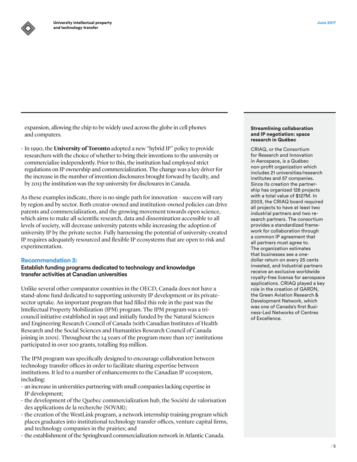expansion, allowing the chip to be widely used across the globe in cell phones and computers.

• In 1990, the **University of Toronto** adopted a new "hybrid IP" policy to provide researchers with the choice of whether to bring their inventions to the university or commercialize independently. Prior to this, the institution had employed strict regulations on IP ownership and commercialization. The change was a key driver for the increase in the number of invention disclosures brought forward by faculty, and by 2013 the institution was the top university for disclosures in Canada.

As these examples indicate, there is no single path for innovation – success will vary by region and by sector. Both creator-owned and institution-owned policies can drive patents and commercialization, and the growing movement towards open science, which aims to make all scientific research, data and dissemination accessible to all levels of society, will decrease university patents while increasing the adoption of university IP by the private sector. Fully harnessing the potential of university-created IP requires adequately resourced and flexible IP ecosystems that are open to risk and experimentation.

## Recommendation 3:

**Establish funding programs dedicated to technology and knowledge transfer activities at Canadian universities**

Unlike several other comparator countries in the OECD, Canada does not have a stand-alone fund dedicated to supporting university IP development or its privatesector uptake. An important program that had filled this role in the past was the Intellectual Property Mobilization (IPM) program. The IPM program was a tricouncil initiative established in 1995 and initially funded by the Natural Sciences and Engineering Research Council of Canada (with Canadian Institutes of Health Research and the Social Sciences and Humanities Research Council of Canada joining in 2001). Throughout the 14 years of the program more than 107 institutions participated in over 100 grants, totalling \$59 million.

The IPM program was specifically designed to encourage collaboration between technology transfer offices in order to facilitate sharing expertise between institutions. It led to a number of enhancements to the Canadian IP ecosystem, including:

- $\cdot$  an increase in universities partnering with small companies lacking expertise in IP development;
- $\cdot$  the development of the Quebec commercialization hub, the Société de valorisation des applications de la recherche (SOVAR);
- $\cdot$  the creation of the WestLink program, a network internship training program which places graduates into institutional technology transfer offices, venture capital firms, and technology companies in the prairies; and
- $\cdot$  the establishment of the Springboard commercialization network in Atlantic Canada.

#### Streamlining collaboration and IP negotiation: space research in Québec

CRIAQ, or the Consortium for Research and Innovation in Aerospace, is a Québec non-profit organization which includes 21 universities/research institutes and 57 companies. Since its creation the partnership has organized 128 projects with a total value of \$127M. In 2003, the CRIAQ board required all projects to have at least two industrial partners and two research partners. The consortium provides a standardized framework for collaboration through a common IP agreement that all partners must agree to. The organization estimates that businesses see a onedollar return on every 25 cents invested, and Industrial partners receive an exclusive worldwide royalty-free license for aerospace applications. CRIAQ played a key role in the creation of GARDN, the Green Aviation Research & Development Network, which was one of Canada's first Business-Led Networks of Centres of Excellence.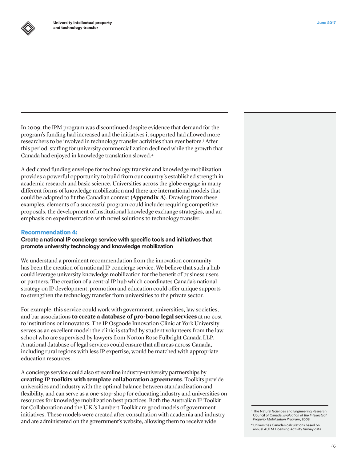In 2009, the IPM program was discontinued despite evidence that demand for the program's funding had increased and the initiatives it supported had allowed more researchers to be involved in technology transfer activities than ever before.<sup>3</sup> After this period, staffing for university commercialization declined while the growth that Canada had enjoyed in knowledge translation slowed.4

A dedicated funding envelope for technology transfer and knowledge mobilization provides a powerful opportunity to build from our country's established strength in academic research and basic science. Universities across the globe engage in many different forms of knowledge mobilization and there are international models that could be adapted to fit the Canadian context **(Appendix A)**. Drawing from these examples, elements of a successful program could include: requiring competitive proposals, the development of institutional knowledge exchange strategies, and an emphasis on experimentation with novel solutions to technology transfer.

## Recommendation 4:

**Create a national IP concierge service with specific tools and initiatives that promote university technology and knowledge mobilization**

We understand a prominent recommendation from the innovation community has been the creation of a national IP concierge service. We believe that such a hub could leverage university knowledge mobilization for the benefit of business users or partners. The creation of a central IP hub which coordinates Canada's national strategy on IP development, promotion and education could offer unique supports to strengthen the technology transfer from universities to the private sector.

For example, this service could work with government, universities, law societies, and bar associations **to create a database of pro-bono legal services** at no cost to institutions or innovators. The IP Osgoode Innovation Clinic at York University serves as an excellent model: the clinic is staffed by student volunteers from the law school who are supervised by lawyers from Norton Rose Fulbright Canada LLP. A national database of legal services could ensure that all areas across Canada, including rural regions with less IP expertise, would be matched with appropriate education resources.

A concierge service could also streamline industry-university partnerships by **creating IP toolkits with template collaboration agreements**. Toolkits provide universities and industry with the optimal balance between standardization and flexibility, and can serve as a one-stop-shop for educating industry and universities on resources for knowledge mobilization best practices. Both the Australian IP Toolkit for Collaboration and the U.K.'s Lambert Toolkit are good models of government initiatives. These models were created after consultation with academia and industry and are administered on the government's website, allowing them to receive wide

<sup>3</sup> The Natural Sciences and Engineering Research Council of Canada, *Evaluation of the Intellectual Property Mobilization Program*, 2008.

<sup>4</sup> Universities Canada's calculations based on annual AUTM Licensing Activity Survey data.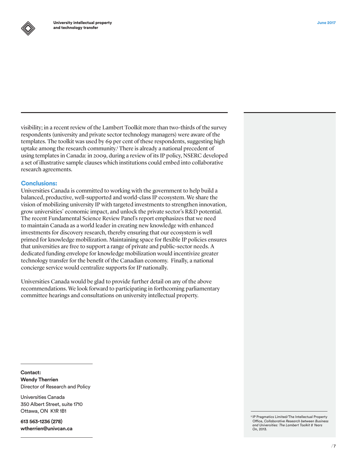

visibility; in a recent review of the Lambert Toolkit more than two-thirds of the survey respondents (university and private sector technology managers) were aware of the templates. The toolkit was used by 69 per cent of these respondents, suggesting high uptake among the research community.<sup>5</sup> There is already a national precedent of using templates in Canada: in 2009, during a review of its IP policy, NSERC developed a set of illustrative sample clauses which institutions could embed into collaborative research agreements.

## Conclusions:

Universities Canada is committed to working with the government to help build a balanced, productive, well-supported and world-class IP ecosystem. We share the vision of mobilizing university IP with targeted investments to strengthen innovation, grow universities' economic impact, and unlock the private sector's R&D potential. The recent Fundamental Science Review Panel's report emphasizes that we need to maintain Canada as a world leader in creating new knowledge with enhanced investments for discovery research, thereby ensuring that our ecosystem is well primed for knowledge mobilization. Maintaining space for flexible IP policies ensures that universities are free to support a range of private and public-sector needs. A dedicated funding envelope for knowledge mobilization would incentivize greater technology transfer for the benefit of the Canadian economy. Finally, a national concierge service would centralize supports for IP nationally.

Universities Canada would be glad to provide further detail on any of the above recommendations. We look forward to participating in forthcoming parliamentary committee hearings and consultations on university intellectual property.

**Contact: Wendy Therrien** Director of Research and Policy

Universities Canada 350 Albert Street, suite 1710 Ottawa, ON K1R 1B1

**613 563-1236 (278) [wtherrien@univcan.ca](mailto:wtherrien@univcan.ca)** <sup>5</sup> IP Pragmatics Limited/The Intellectual Property Office, *Collaborative Research between Business and Universities: The Lambert Toolkit 8 Years On,* 2013.